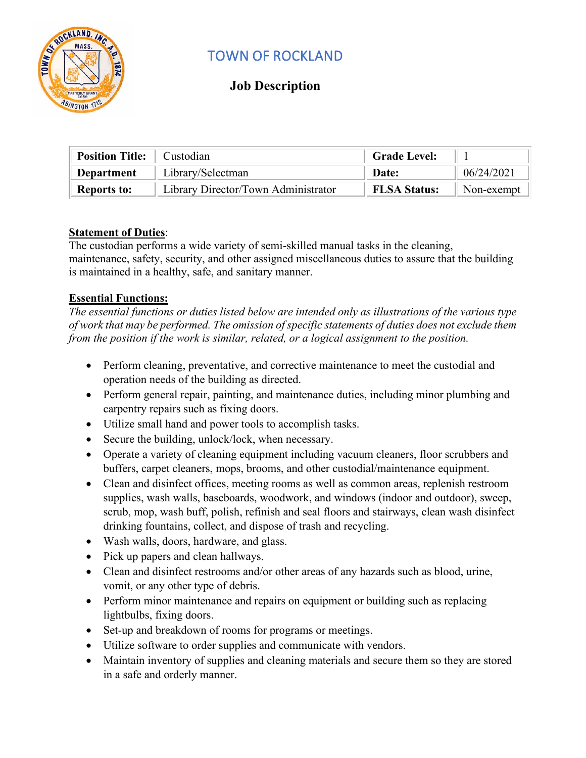

# TOWN OF ROCKLAND

# **Job Description**

| <b>Position Title:</b> | ∣ Custodian                         | <b>Grade Level:</b> |            |
|------------------------|-------------------------------------|---------------------|------------|
| <b>Department</b>      | Library/Selectman                   | Date:               | 06/24/2021 |
| <b>Reports to:</b>     | Library Director/Town Administrator | <b>FLSA Status:</b> | Non-exempt |

### **Statement of Duties**:

The custodian performs a wide variety of semi-skilled manual tasks in the cleaning, maintenance, safety, security, and other assigned miscellaneous duties to assure that the building is maintained in a healthy, safe, and sanitary manner.

### **Essential Functions:**

*The essential functions or duties listed below are intended only as illustrations of the various type of work that may be performed. The omission of specific statements of duties does not exclude them from the position if the work is similar, related, or a logical assignment to the position.*

- Perform cleaning, preventative, and corrective maintenance to meet the custodial and operation needs of the building as directed.
- Perform general repair, painting, and maintenance duties, including minor plumbing and carpentry repairs such as fixing doors.
- Utilize small hand and power tools to accomplish tasks.
- Secure the building, unlock/lock, when necessary.
- Operate a variety of cleaning equipment including vacuum cleaners, floor scrubbers and buffers, carpet cleaners, mops, brooms, and other custodial/maintenance equipment.
- Clean and disinfect offices, meeting rooms as well as common areas, replenish restroom supplies, wash walls, baseboards, woodwork, and windows (indoor and outdoor), sweep, scrub, mop, wash buff, polish, refinish and seal floors and stairways, clean wash disinfect drinking fountains, collect, and dispose of trash and recycling.
- Wash walls, doors, hardware, and glass.
- Pick up papers and clean hallways.
- Clean and disinfect restrooms and/or other areas of any hazards such as blood, urine, vomit, or any other type of debris.
- Perform minor maintenance and repairs on equipment or building such as replacing lightbulbs, fixing doors.
- Set-up and breakdown of rooms for programs or meetings.
- Utilize software to order supplies and communicate with vendors.
- Maintain inventory of supplies and cleaning materials and secure them so they are stored in a safe and orderly manner.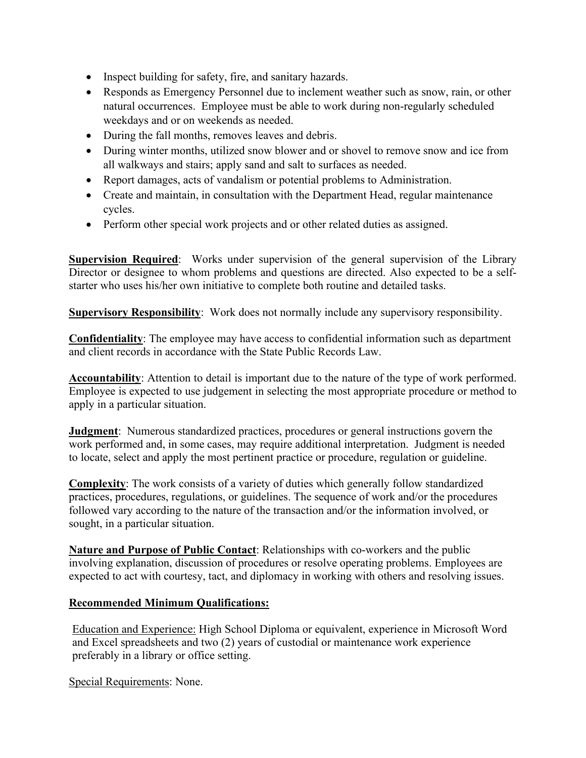- Inspect building for safety, fire, and sanitary hazards.
- Responds as Emergency Personnel due to inclement weather such as snow, rain, or other natural occurrences. Employee must be able to work during non-regularly scheduled weekdays and or on weekends as needed.
- During the fall months, removes leaves and debris.
- During winter months, utilized snow blower and or shovel to remove snow and ice from all walkways and stairs; apply sand and salt to surfaces as needed.
- Report damages, acts of vandalism or potential problems to Administration.
- Create and maintain, in consultation with the Department Head, regular maintenance cycles.
- Perform other special work projects and or other related duties as assigned.

**Supervision Required**: Works under supervision of the general supervision of the Library Director or designee to whom problems and questions are directed. Also expected to be a selfstarter who uses his/her own initiative to complete both routine and detailed tasks.

**Supervisory Responsibility**: Work does not normally include any supervisory responsibility.

**Confidentiality**: The employee may have access to confidential information such as department and client records in accordance with the State Public Records Law.

**Accountability**: Attention to detail is important due to the nature of the type of work performed. Employee is expected to use judgement in selecting the most appropriate procedure or method to apply in a particular situation.

**Judgment**: Numerous standardized practices, procedures or general instructions govern the work performed and, in some cases, may require additional interpretation. Judgment is needed to locate, select and apply the most pertinent practice or procedure, regulation or guideline.

**Complexity**: The work consists of a variety of duties which generally follow standardized practices, procedures, regulations, or guidelines. The sequence of work and/or the procedures followed vary according to the nature of the transaction and/or the information involved, or sought, in a particular situation.

**Nature and Purpose of Public Contact**: Relationships with co-workers and the public involving explanation, discussion of procedures or resolve operating problems. Employees are expected to act with courtesy, tact, and diplomacy in working with others and resolving issues.

#### **Recommended Minimum Qualifications:**

Education and Experience: High School Diploma or equivalent, experience in Microsoft Word and Excel spreadsheets and two (2) years of custodial or maintenance work experience preferably in a library or office setting.

Special Requirements: None.